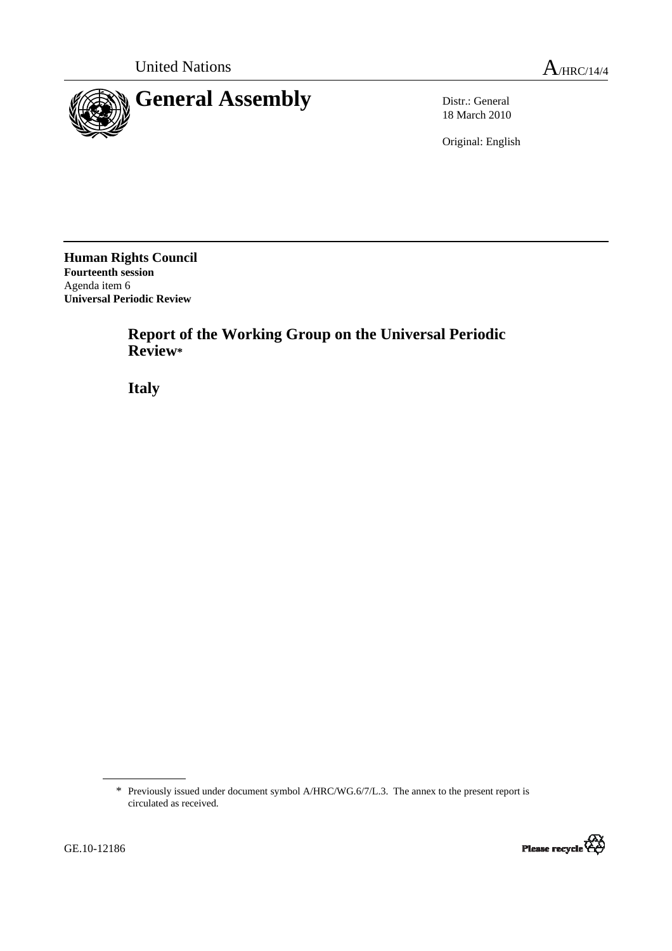

18 March 2010

Original: English

**Human Rights Council Fourteenth session**  Agenda item 6 **Universal Periodic Review** 

> **Report of the Working Group on the Universal Periodic Review\***

 **Italy** 

<sup>\*</sup> Previously issued under document symbol A/HRC/WG.6/7/L.3. The annex to the present report is circulated as received.

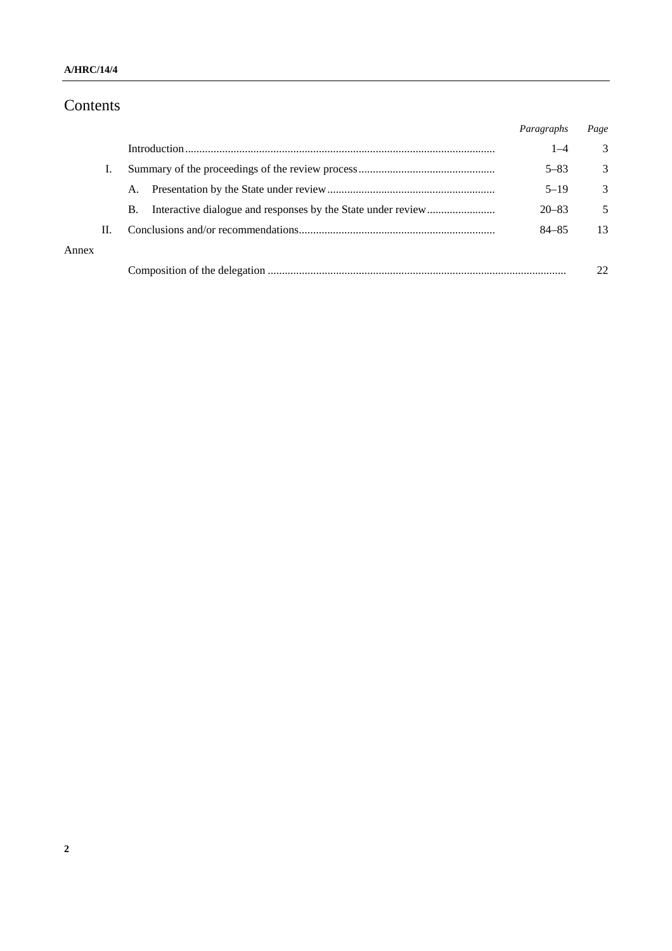### **A/HRC/14/4**

# Contents

|       |    |    | Paragraphs | Page |
|-------|----|----|------------|------|
|       |    |    | $1 - 4$    | 3    |
|       |    |    | $5 - 83$   | 3    |
|       |    | A. | $5 - 19$   | 3    |
|       |    | В. | $20 - 83$  | 5    |
|       | П. |    | $84 - 85$  | 13   |
| Annex |    |    |            |      |
|       |    |    |            |      |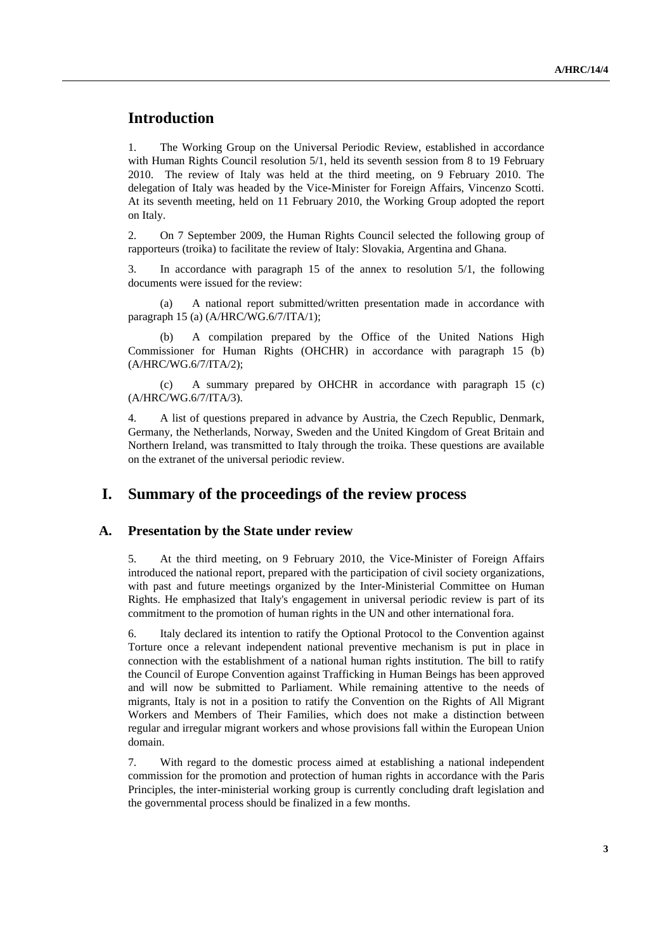# **Introduction**

1. The Working Group on the Universal Periodic Review, established in accordance with Human Rights Council resolution 5/1, held its seventh session from 8 to 19 February 2010. The review of Italy was held at the third meeting, on 9 February 2010. The delegation of Italy was headed by the Vice-Minister for Foreign Affairs, Vincenzo Scotti. At its seventh meeting, held on 11 February 2010, the Working Group adopted the report on Italy.

2. On 7 September 2009, the Human Rights Council selected the following group of rapporteurs (troika) to facilitate the review of Italy: Slovakia, Argentina and Ghana.

3. In accordance with paragraph 15 of the annex to resolution 5/1, the following documents were issued for the review:

(a) A national report submitted/written presentation made in accordance with paragraph 15 (a) (A/HRC/WG.6/7/ITA/1);

(b) A compilation prepared by the Office of the United Nations High Commissioner for Human Rights (OHCHR) in accordance with paragraph 15 (b) (A/HRC/WG.6/7/ITA/2);

(c) A summary prepared by OHCHR in accordance with paragraph 15 (c) (A/HRC/WG.6/7/ITA/3).

4. A list of questions prepared in advance by Austria, the Czech Republic, Denmark, Germany, the Netherlands, Norway, Sweden and the United Kingdom of Great Britain and Northern Ireland, was transmitted to Italy through the troika. These questions are available on the extranet of the universal periodic review.

## **I. Summary of the proceedings of the review process**

#### **A. Presentation by the State under review**

5. At the third meeting, on 9 February 2010, the Vice-Minister of Foreign Affairs introduced the national report, prepared with the participation of civil society organizations, with past and future meetings organized by the Inter-Ministerial Committee on Human Rights. He emphasized that Italy's engagement in universal periodic review is part of its commitment to the promotion of human rights in the UN and other international fora.

6. Italy declared its intention to ratify the Optional Protocol to the Convention against Torture once a relevant independent national preventive mechanism is put in place in connection with the establishment of a national human rights institution. The bill to ratify the Council of Europe Convention against Trafficking in Human Beings has been approved and will now be submitted to Parliament. While remaining attentive to the needs of migrants, Italy is not in a position to ratify the Convention on the Rights of All Migrant Workers and Members of Their Families, which does not make a distinction between regular and irregular migrant workers and whose provisions fall within the European Union domain.

7. With regard to the domestic process aimed at establishing a national independent commission for the promotion and protection of human rights in accordance with the Paris Principles, the inter-ministerial working group is currently concluding draft legislation and the governmental process should be finalized in a few months.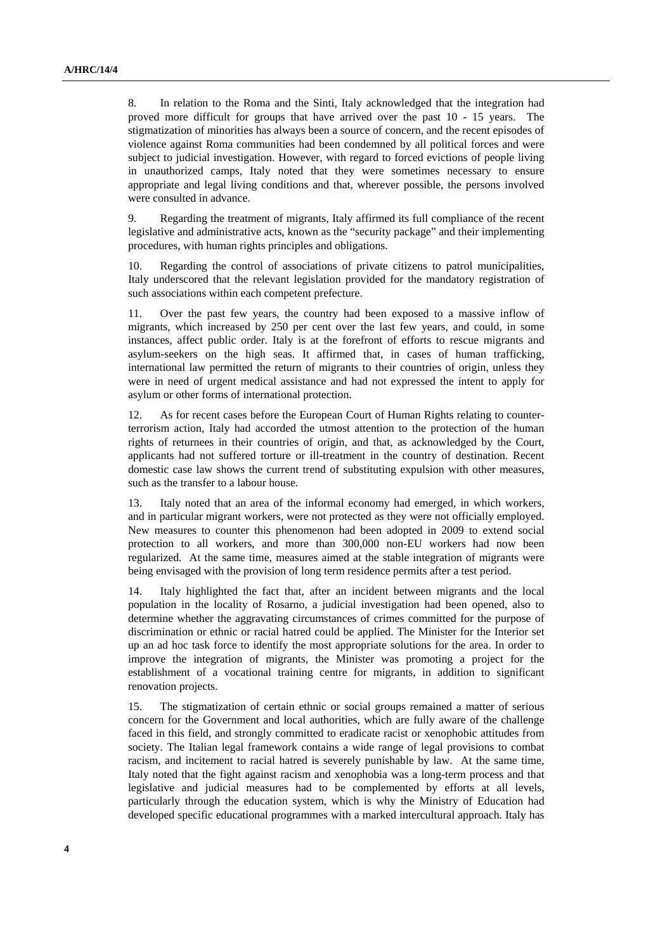8. In relation to the Roma and the Sinti, Italy acknowledged that the integration had proved more difficult for groups that have arrived over the past 10 - 15 years. The stigmatization of minorities has always been a source of concern, and the recent episodes of violence against Roma communities had been condemned by all political forces and were subject to judicial investigation. However, with regard to forced evictions of people living in unauthorized camps, Italy noted that they were sometimes necessary to ensure appropriate and legal living conditions and that, wherever possible, the persons involved were consulted in advance.

9. Regarding the treatment of migrants, Italy affirmed its full compliance of the recent legislative and administrative acts, known as the "security package" and their implementing procedures, with human rights principles and obligations.

10. Regarding the control of associations of private citizens to patrol municipalities, Italy underscored that the relevant legislation provided for the mandatory registration of such associations within each competent prefecture.

11. Over the past few years, the country had been exposed to a massive inflow of migrants, which increased by 250 per cent over the last few years, and could, in some instances, affect public order. Italy is at the forefront of efforts to rescue migrants and asylum-seekers on the high seas. It affirmed that, in cases of human trafficking, international law permitted the return of migrants to their countries of origin, unless they were in need of urgent medical assistance and had not expressed the intent to apply for asylum or other forms of international protection.

12. As for recent cases before the European Court of Human Rights relating to counterterrorism action, Italy had accorded the utmost attention to the protection of the human rights of returnees in their countries of origin, and that, as acknowledged by the Court, applicants had not suffered torture or ill-treatment in the country of destination. Recent domestic case law shows the current trend of substituting expulsion with other measures, such as the transfer to a labour house.

13. Italy noted that an area of the informal economy had emerged, in which workers, and in particular migrant workers, were not protected as they were not officially employed. New measures to counter this phenomenon had been adopted in 2009 to extend social protection to all workers, and more than 300,000 non-EU workers had now been regularized. At the same time, measures aimed at the stable integration of migrants were being envisaged with the provision of long term residence permits after a test period.

14. Italy highlighted the fact that, after an incident between migrants and the local population in the locality of Rosarno, a judicial investigation had been opened, also to determine whether the aggravating circumstances of crimes committed for the purpose of discrimination or ethnic or racial hatred could be applied. The Minister for the Interior set up an ad hoc task force to identify the most appropriate solutions for the area. In order to improve the integration of migrants, the Minister was promoting a project for the establishment of a vocational training centre for migrants, in addition to significant renovation projects.

15. The stigmatization of certain ethnic or social groups remained a matter of serious concern for the Government and local authorities, which are fully aware of the challenge faced in this field, and strongly committed to eradicate racist or xenophobic attitudes from society. The Italian legal framework contains a wide range of legal provisions to combat racism, and incitement to racial hatred is severely punishable by law. At the same time, Italy noted that the fight against racism and xenophobia was a long-term process and that legislative and judicial measures had to be complemented by efforts at all levels, particularly through the education system, which is why the Ministry of Education had developed specific educational programmes with a marked intercultural approach. Italy has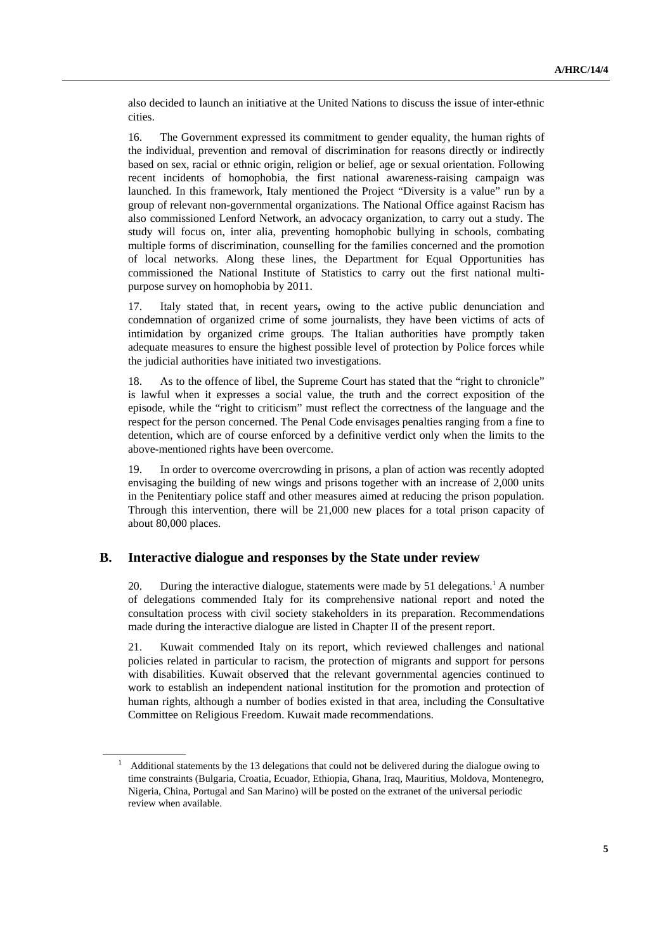also decided to launch an initiative at the United Nations to discuss the issue of inter-ethnic cities.

16. The Government expressed its commitment to gender equality, the human rights of the individual, prevention and removal of discrimination for reasons directly or indirectly based on sex, racial or ethnic origin, religion or belief, age or sexual orientation. Following recent incidents of homophobia, the first national awareness-raising campaign was launched. In this framework, Italy mentioned the Project "Diversity is a value" run by a group of relevant non-governmental organizations. The National Office against Racism has also commissioned Lenford Network, an advocacy organization, to carry out a study. The study will focus on, inter alia, preventing homophobic bullying in schools, combating multiple forms of discrimination, counselling for the families concerned and the promotion of local networks. Along these lines, the Department for Equal Opportunities has commissioned the National Institute of Statistics to carry out the first national multipurpose survey on homophobia by 2011.

17. Italy stated that, in recent years**,** owing to the active public denunciation and condemnation of organized crime of some journalists, they have been victims of acts of intimidation by organized crime groups. The Italian authorities have promptly taken adequate measures to ensure the highest possible level of protection by Police forces while the judicial authorities have initiated two investigations.

18. As to the offence of libel, the Supreme Court has stated that the "right to chronicle" is lawful when it expresses a social value, the truth and the correct exposition of the episode, while the "right to criticism" must reflect the correctness of the language and the respect for the person concerned. The Penal Code envisages penalties ranging from a fine to detention, which are of course enforced by a definitive verdict only when the limits to the above-mentioned rights have been overcome.

19. In order to overcome overcrowding in prisons, a plan of action was recently adopted envisaging the building of new wings and prisons together with an increase of 2,000 units in the Penitentiary police staff and other measures aimed at reducing the prison population. Through this intervention, there will be 21,000 new places for a total prison capacity of about 80,000 places.

#### **B. Interactive dialogue and responses by the State under review**

20. During the interactive dialogue, statements were made by 51 delegations.<sup>1</sup> A number of delegations commended Italy for its comprehensive national report and noted the consultation process with civil society stakeholders in its preparation. Recommendations made during the interactive dialogue are listed in Chapter II of the present report.

21. Kuwait commended Italy on its report, which reviewed challenges and national policies related in particular to racism, the protection of migrants and support for persons with disabilities. Kuwait observed that the relevant governmental agencies continued to work to establish an independent national institution for the promotion and protection of human rights, although a number of bodies existed in that area, including the Consultative Committee on Religious Freedom. Kuwait made recommendations.

<sup>1</sup> Additional statements by the 13 delegations that could not be delivered during the dialogue owing to time constraints (Bulgaria, Croatia, Ecuador, Ethiopia, Ghana, Iraq, Mauritius, Moldova, Montenegro, Nigeria, China, Portugal and San Marino) will be posted on the extranet of the universal periodic review when available.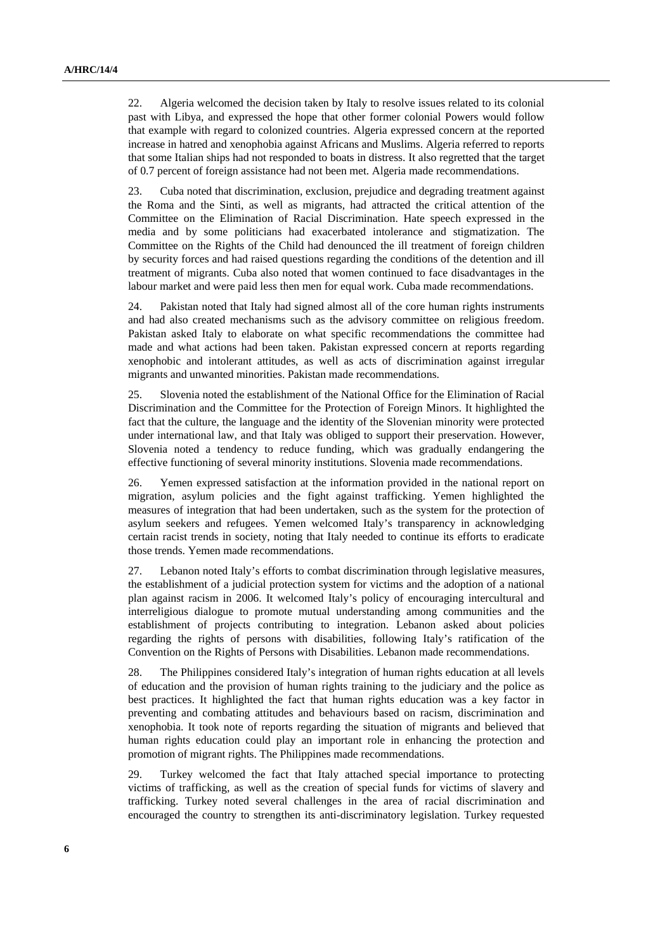22. Algeria welcomed the decision taken by Italy to resolve issues related to its colonial past with Libya, and expressed the hope that other former colonial Powers would follow that example with regard to colonized countries. Algeria expressed concern at the reported increase in hatred and xenophobia against Africans and Muslims. Algeria referred to reports that some Italian ships had not responded to boats in distress. It also regretted that the target of 0.7 percent of foreign assistance had not been met. Algeria made recommendations.

23. Cuba noted that discrimination, exclusion, prejudice and degrading treatment against the Roma and the Sinti, as well as migrants, had attracted the critical attention of the Committee on the Elimination of Racial Discrimination. Hate speech expressed in the media and by some politicians had exacerbated intolerance and stigmatization. The Committee on the Rights of the Child had denounced the ill treatment of foreign children by security forces and had raised questions regarding the conditions of the detention and ill treatment of migrants. Cuba also noted that women continued to face disadvantages in the labour market and were paid less then men for equal work. Cuba made recommendations.

24. Pakistan noted that Italy had signed almost all of the core human rights instruments and had also created mechanisms such as the advisory committee on religious freedom. Pakistan asked Italy to elaborate on what specific recommendations the committee had made and what actions had been taken. Pakistan expressed concern at reports regarding xenophobic and intolerant attitudes, as well as acts of discrimination against irregular migrants and unwanted minorities. Pakistan made recommendations.

25. Slovenia noted the establishment of the National Office for the Elimination of Racial Discrimination and the Committee for the Protection of Foreign Minors. It highlighted the fact that the culture, the language and the identity of the Slovenian minority were protected under international law, and that Italy was obliged to support their preservation. However, Slovenia noted a tendency to reduce funding, which was gradually endangering the effective functioning of several minority institutions. Slovenia made recommendations.

26. Yemen expressed satisfaction at the information provided in the national report on migration, asylum policies and the fight against trafficking. Yemen highlighted the measures of integration that had been undertaken, such as the system for the protection of asylum seekers and refugees. Yemen welcomed Italy's transparency in acknowledging certain racist trends in society, noting that Italy needed to continue its efforts to eradicate those trends. Yemen made recommendations.

27. Lebanon noted Italy's efforts to combat discrimination through legislative measures, the establishment of a judicial protection system for victims and the adoption of a national plan against racism in 2006. It welcomed Italy's policy of encouraging intercultural and interreligious dialogue to promote mutual understanding among communities and the establishment of projects contributing to integration. Lebanon asked about policies regarding the rights of persons with disabilities, following Italy's ratification of the Convention on the Rights of Persons with Disabilities. Lebanon made recommendations.

28. The Philippines considered Italy's integration of human rights education at all levels of education and the provision of human rights training to the judiciary and the police as best practices. It highlighted the fact that human rights education was a key factor in preventing and combating attitudes and behaviours based on racism, discrimination and xenophobia. It took note of reports regarding the situation of migrants and believed that human rights education could play an important role in enhancing the protection and promotion of migrant rights. The Philippines made recommendations.

29. Turkey welcomed the fact that Italy attached special importance to protecting victims of trafficking, as well as the creation of special funds for victims of slavery and trafficking. Turkey noted several challenges in the area of racial discrimination and encouraged the country to strengthen its anti-discriminatory legislation. Turkey requested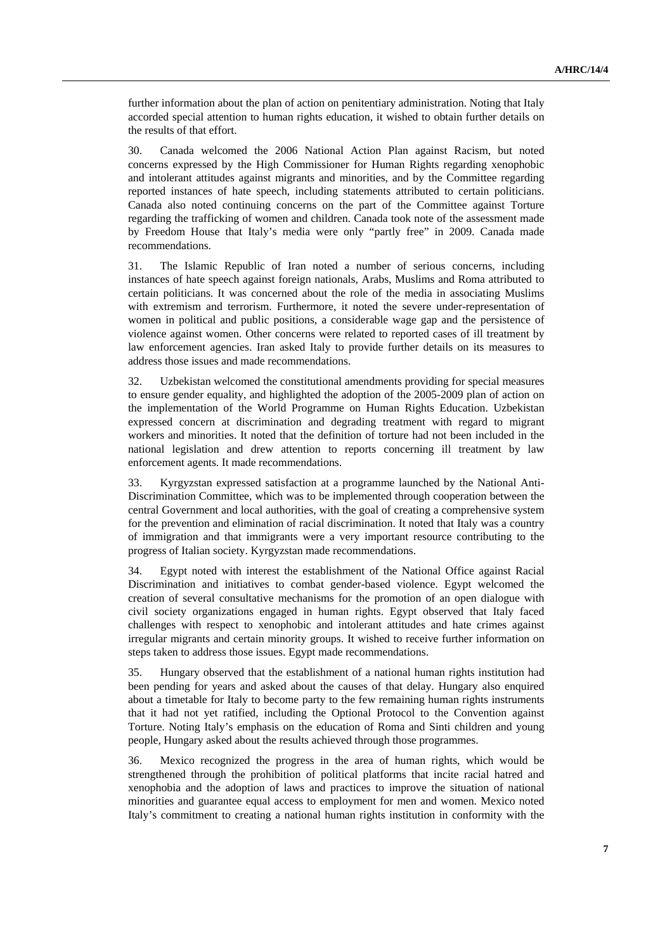further information about the plan of action on penitentiary administration. Noting that Italy accorded special attention to human rights education, it wished to obtain further details on the results of that effort.

30. Canada welcomed the 2006 National Action Plan against Racism, but noted concerns expressed by the High Commissioner for Human Rights regarding xenophobic and intolerant attitudes against migrants and minorities, and by the Committee regarding reported instances of hate speech, including statements attributed to certain politicians. Canada also noted continuing concerns on the part of the Committee against Torture regarding the trafficking of women and children. Canada took note of the assessment made by Freedom House that Italy's media were only "partly free" in 2009. Canada made recommendations.

31. The Islamic Republic of Iran noted a number of serious concerns, including instances of hate speech against foreign nationals, Arabs, Muslims and Roma attributed to certain politicians. It was concerned about the role of the media in associating Muslims with extremism and terrorism. Furthermore, it noted the severe under-representation of women in political and public positions, a considerable wage gap and the persistence of violence against women. Other concerns were related to reported cases of ill treatment by law enforcement agencies. Iran asked Italy to provide further details on its measures to address those issues and made recommendations.

32. Uzbekistan welcomed the constitutional amendments providing for special measures to ensure gender equality, and highlighted the adoption of the 2005-2009 plan of action on the implementation of the World Programme on Human Rights Education. Uzbekistan expressed concern at discrimination and degrading treatment with regard to migrant workers and minorities. It noted that the definition of torture had not been included in the national legislation and drew attention to reports concerning ill treatment by law enforcement agents. It made recommendations.

33. Kyrgyzstan expressed satisfaction at a programme launched by the National Anti-Discrimination Committee, which was to be implemented through cooperation between the central Government and local authorities, with the goal of creating a comprehensive system for the prevention and elimination of racial discrimination. It noted that Italy was a country of immigration and that immigrants were a very important resource contributing to the progress of Italian society. Kyrgyzstan made recommendations.

34. Egypt noted with interest the establishment of the National Office against Racial Discrimination and initiatives to combat gender-based violence. Egypt welcomed the creation of several consultative mechanisms for the promotion of an open dialogue with civil society organizations engaged in human rights. Egypt observed that Italy faced challenges with respect to xenophobic and intolerant attitudes and hate crimes against irregular migrants and certain minority groups. It wished to receive further information on steps taken to address those issues. Egypt made recommendations.

35. Hungary observed that the establishment of a national human rights institution had been pending for years and asked about the causes of that delay. Hungary also enquired about a timetable for Italy to become party to the few remaining human rights instruments that it had not yet ratified, including the Optional Protocol to the Convention against Torture. Noting Italy's emphasis on the education of Roma and Sinti children and young people, Hungary asked about the results achieved through those programmes.

36. Mexico recognized the progress in the area of human rights, which would be strengthened through the prohibition of political platforms that incite racial hatred and xenophobia and the adoption of laws and practices to improve the situation of national minorities and guarantee equal access to employment for men and women. Mexico noted Italy's commitment to creating a national human rights institution in conformity with the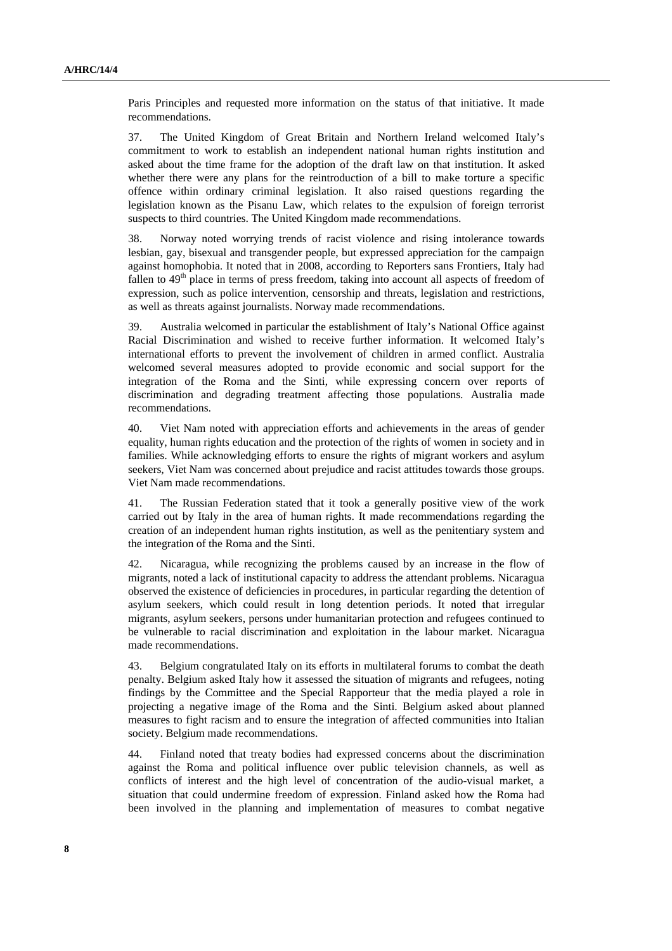Paris Principles and requested more information on the status of that initiative. It made recommendations.

37. The United Kingdom of Great Britain and Northern Ireland welcomed Italy's commitment to work to establish an independent national human rights institution and asked about the time frame for the adoption of the draft law on that institution. It asked whether there were any plans for the reintroduction of a bill to make torture a specific offence within ordinary criminal legislation. It also raised questions regarding the legislation known as the Pisanu Law, which relates to the expulsion of foreign terrorist suspects to third countries. The United Kingdom made recommendations.

38. Norway noted worrying trends of racist violence and rising intolerance towards lesbian, gay, bisexual and transgender people, but expressed appreciation for the campaign against homophobia. It noted that in 2008, according to Reporters sans Frontiers, Italy had fallen to  $49<sup>th</sup>$  place in terms of press freedom, taking into account all aspects of freedom of expression, such as police intervention, censorship and threats, legislation and restrictions, as well as threats against journalists. Norway made recommendations.

39. Australia welcomed in particular the establishment of Italy's National Office against Racial Discrimination and wished to receive further information. It welcomed Italy's international efforts to prevent the involvement of children in armed conflict. Australia welcomed several measures adopted to provide economic and social support for the integration of the Roma and the Sinti, while expressing concern over reports of discrimination and degrading treatment affecting those populations. Australia made recommendations.

40. Viet Nam noted with appreciation efforts and achievements in the areas of gender equality, human rights education and the protection of the rights of women in society and in families. While acknowledging efforts to ensure the rights of migrant workers and asylum seekers, Viet Nam was concerned about prejudice and racist attitudes towards those groups. Viet Nam made recommendations.

41. The Russian Federation stated that it took a generally positive view of the work carried out by Italy in the area of human rights. It made recommendations regarding the creation of an independent human rights institution, as well as the penitentiary system and the integration of the Roma and the Sinti.

42. Nicaragua, while recognizing the problems caused by an increase in the flow of migrants, noted a lack of institutional capacity to address the attendant problems. Nicaragua observed the existence of deficiencies in procedures, in particular regarding the detention of asylum seekers, which could result in long detention periods. It noted that irregular migrants, asylum seekers, persons under humanitarian protection and refugees continued to be vulnerable to racial discrimination and exploitation in the labour market. Nicaragua made recommendations.

43. Belgium congratulated Italy on its efforts in multilateral forums to combat the death penalty. Belgium asked Italy how it assessed the situation of migrants and refugees, noting findings by the Committee and the Special Rapporteur that the media played a role in projecting a negative image of the Roma and the Sinti. Belgium asked about planned measures to fight racism and to ensure the integration of affected communities into Italian society. Belgium made recommendations.

44. Finland noted that treaty bodies had expressed concerns about the discrimination against the Roma and political influence over public television channels, as well as conflicts of interest and the high level of concentration of the audio-visual market, a situation that could undermine freedom of expression. Finland asked how the Roma had been involved in the planning and implementation of measures to combat negative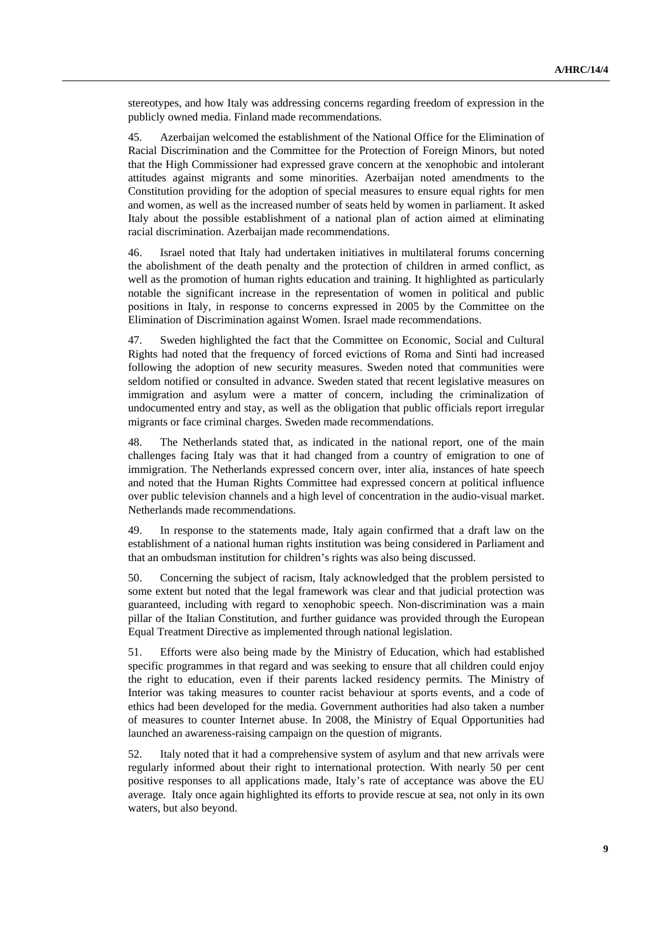stereotypes, and how Italy was addressing concerns regarding freedom of expression in the publicly owned media. Finland made recommendations.

45. Azerbaijan welcomed the establishment of the National Office for the Elimination of Racial Discrimination and the Committee for the Protection of Foreign Minors, but noted that the High Commissioner had expressed grave concern at the xenophobic and intolerant attitudes against migrants and some minorities. Azerbaijan noted amendments to the Constitution providing for the adoption of special measures to ensure equal rights for men and women, as well as the increased number of seats held by women in parliament. It asked Italy about the possible establishment of a national plan of action aimed at eliminating racial discrimination. Azerbaijan made recommendations.

46. Israel noted that Italy had undertaken initiatives in multilateral forums concerning the abolishment of the death penalty and the protection of children in armed conflict, as well as the promotion of human rights education and training. It highlighted as particularly notable the significant increase in the representation of women in political and public positions in Italy, in response to concerns expressed in 2005 by the Committee on the Elimination of Discrimination against Women. Israel made recommendations.

47. Sweden highlighted the fact that the Committee on Economic, Social and Cultural Rights had noted that the frequency of forced evictions of Roma and Sinti had increased following the adoption of new security measures. Sweden noted that communities were seldom notified or consulted in advance. Sweden stated that recent legislative measures on immigration and asylum were a matter of concern, including the criminalization of undocumented entry and stay, as well as the obligation that public officials report irregular migrants or face criminal charges. Sweden made recommendations.

48. The Netherlands stated that, as indicated in the national report, one of the main challenges facing Italy was that it had changed from a country of emigration to one of immigration. The Netherlands expressed concern over, inter alia, instances of hate speech and noted that the Human Rights Committee had expressed concern at political influence over public television channels and a high level of concentration in the audio-visual market. Netherlands made recommendations.

49. In response to the statements made, Italy again confirmed that a draft law on the establishment of a national human rights institution was being considered in Parliament and that an ombudsman institution for children's rights was also being discussed.

50. Concerning the subject of racism, Italy acknowledged that the problem persisted to some extent but noted that the legal framework was clear and that judicial protection was guaranteed, including with regard to xenophobic speech. Non-discrimination was a main pillar of the Italian Constitution, and further guidance was provided through the European Equal Treatment Directive as implemented through national legislation.

51. Efforts were also being made by the Ministry of Education, which had established specific programmes in that regard and was seeking to ensure that all children could enjoy the right to education, even if their parents lacked residency permits. The Ministry of Interior was taking measures to counter racist behaviour at sports events, and a code of ethics had been developed for the media. Government authorities had also taken a number of measures to counter Internet abuse. In 2008, the Ministry of Equal Opportunities had launched an awareness-raising campaign on the question of migrants.

52. Italy noted that it had a comprehensive system of asylum and that new arrivals were regularly informed about their right to international protection. With nearly 50 per cent positive responses to all applications made, Italy's rate of acceptance was above the EU average. Italy once again highlighted its efforts to provide rescue at sea, not only in its own waters, but also beyond.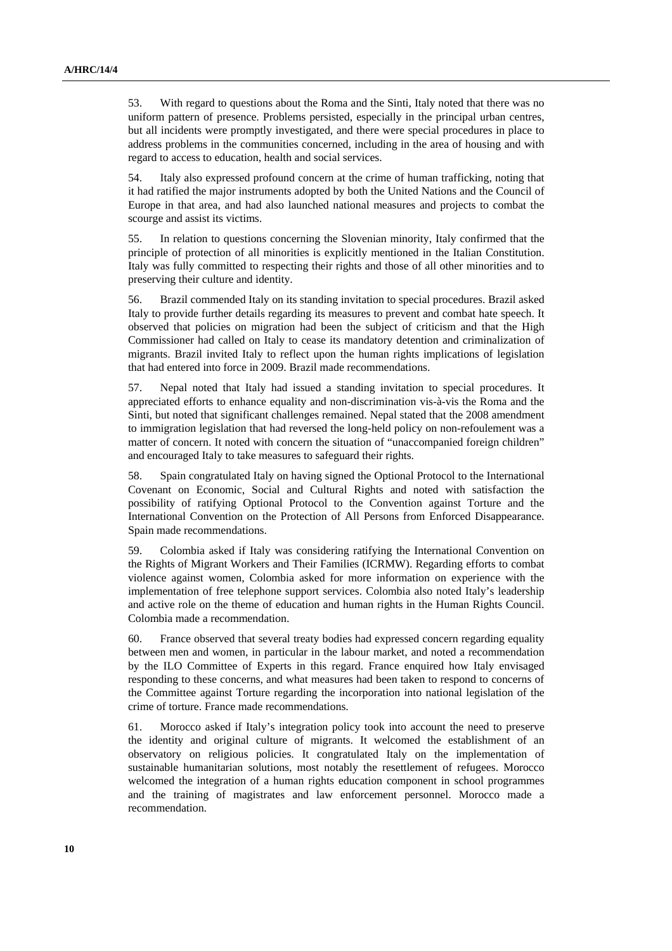53. With regard to questions about the Roma and the Sinti, Italy noted that there was no uniform pattern of presence. Problems persisted, especially in the principal urban centres, but all incidents were promptly investigated, and there were special procedures in place to address problems in the communities concerned, including in the area of housing and with regard to access to education, health and social services.

54. Italy also expressed profound concern at the crime of human trafficking, noting that it had ratified the major instruments adopted by both the United Nations and the Council of Europe in that area, and had also launched national measures and projects to combat the scourge and assist its victims.

55. In relation to questions concerning the Slovenian minority, Italy confirmed that the principle of protection of all minorities is explicitly mentioned in the Italian Constitution. Italy was fully committed to respecting their rights and those of all other minorities and to preserving their culture and identity.

56. Brazil commended Italy on its standing invitation to special procedures. Brazil asked Italy to provide further details regarding its measures to prevent and combat hate speech. It observed that policies on migration had been the subject of criticism and that the High Commissioner had called on Italy to cease its mandatory detention and criminalization of migrants. Brazil invited Italy to reflect upon the human rights implications of legislation that had entered into force in 2009. Brazil made recommendations.

57. Nepal noted that Italy had issued a standing invitation to special procedures. It appreciated efforts to enhance equality and non-discrimination vis-à-vis the Roma and the Sinti, but noted that significant challenges remained. Nepal stated that the 2008 amendment to immigration legislation that had reversed the long-held policy on non-refoulement was a matter of concern. It noted with concern the situation of "unaccompanied foreign children" and encouraged Italy to take measures to safeguard their rights.

58. Spain congratulated Italy on having signed the Optional Protocol to the International Covenant on Economic, Social and Cultural Rights and noted with satisfaction the possibility of ratifying Optional Protocol to the Convention against Torture and the International Convention on the Protection of All Persons from Enforced Disappearance. Spain made recommendations.

59. Colombia asked if Italy was considering ratifying the International Convention on the Rights of Migrant Workers and Their Families (ICRMW). Regarding efforts to combat violence against women, Colombia asked for more information on experience with the implementation of free telephone support services. Colombia also noted Italy's leadership and active role on the theme of education and human rights in the Human Rights Council. Colombia made a recommendation.

60. France observed that several treaty bodies had expressed concern regarding equality between men and women, in particular in the labour market, and noted a recommendation by the ILO Committee of Experts in this regard. France enquired how Italy envisaged responding to these concerns, and what measures had been taken to respond to concerns of the Committee against Torture regarding the incorporation into national legislation of the crime of torture. France made recommendations.

61. Morocco asked if Italy's integration policy took into account the need to preserve the identity and original culture of migrants. It welcomed the establishment of an observatory on religious policies. It congratulated Italy on the implementation of sustainable humanitarian solutions, most notably the resettlement of refugees. Morocco welcomed the integration of a human rights education component in school programmes and the training of magistrates and law enforcement personnel. Morocco made a recommendation.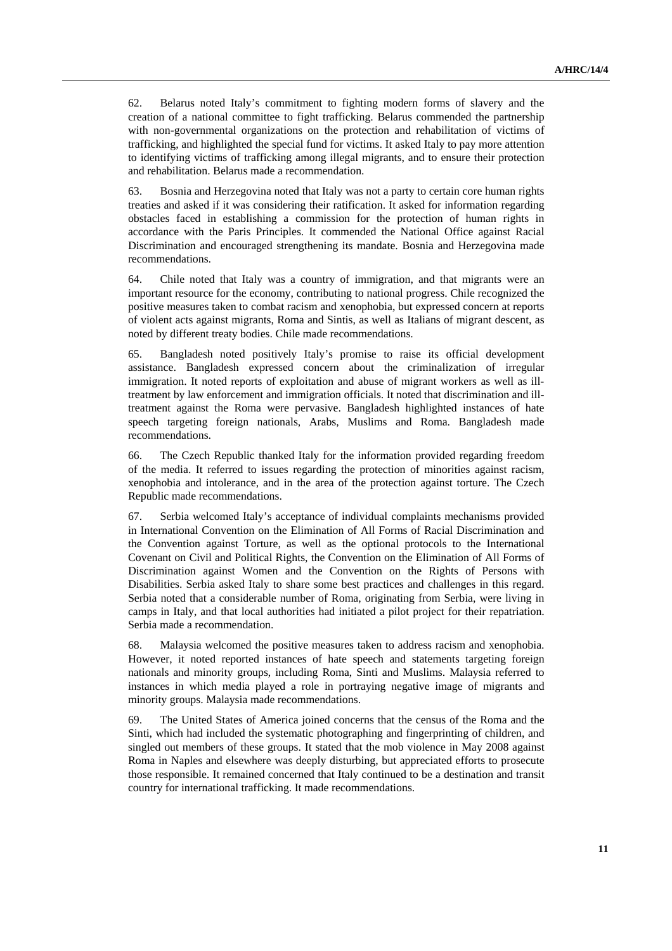62. Belarus noted Italy's commitment to fighting modern forms of slavery and the creation of a national committee to fight trafficking. Belarus commended the partnership with non-governmental organizations on the protection and rehabilitation of victims of trafficking, and highlighted the special fund for victims. It asked Italy to pay more attention to identifying victims of trafficking among illegal migrants, and to ensure their protection and rehabilitation. Belarus made a recommendation.

63. Bosnia and Herzegovina noted that Italy was not a party to certain core human rights treaties and asked if it was considering their ratification. It asked for information regarding obstacles faced in establishing a commission for the protection of human rights in accordance with the Paris Principles. It commended the National Office against Racial Discrimination and encouraged strengthening its mandate. Bosnia and Herzegovina made recommendations.

64. Chile noted that Italy was a country of immigration, and that migrants were an important resource for the economy, contributing to national progress. Chile recognized the positive measures taken to combat racism and xenophobia, but expressed concern at reports of violent acts against migrants, Roma and Sintis, as well as Italians of migrant descent, as noted by different treaty bodies. Chile made recommendations.

65. Bangladesh noted positively Italy's promise to raise its official development assistance. Bangladesh expressed concern about the criminalization of irregular immigration. It noted reports of exploitation and abuse of migrant workers as well as illtreatment by law enforcement and immigration officials. It noted that discrimination and illtreatment against the Roma were pervasive. Bangladesh highlighted instances of hate speech targeting foreign nationals, Arabs, Muslims and Roma. Bangladesh made recommendations.

66. The Czech Republic thanked Italy for the information provided regarding freedom of the media. It referred to issues regarding the protection of minorities against racism, xenophobia and intolerance, and in the area of the protection against torture. The Czech Republic made recommendations.

67. Serbia welcomed Italy's acceptance of individual complaints mechanisms provided in International Convention on the Elimination of All Forms of Racial Discrimination and the Convention against Torture, as well as the optional protocols to the International Covenant on Civil and Political Rights, the Convention on the Elimination of All Forms of Discrimination against Women and the Convention on the Rights of Persons with Disabilities. Serbia asked Italy to share some best practices and challenges in this regard. Serbia noted that a considerable number of Roma, originating from Serbia, were living in camps in Italy, and that local authorities had initiated a pilot project for their repatriation. Serbia made a recommendation.

68. Malaysia welcomed the positive measures taken to address racism and xenophobia. However, it noted reported instances of hate speech and statements targeting foreign nationals and minority groups, including Roma, Sinti and Muslims. Malaysia referred to instances in which media played a role in portraying negative image of migrants and minority groups. Malaysia made recommendations.

69. The United States of America joined concerns that the census of the Roma and the Sinti, which had included the systematic photographing and fingerprinting of children, and singled out members of these groups. It stated that the mob violence in May 2008 against Roma in Naples and elsewhere was deeply disturbing, but appreciated efforts to prosecute those responsible. It remained concerned that Italy continued to be a destination and transit country for international trafficking. It made recommendations.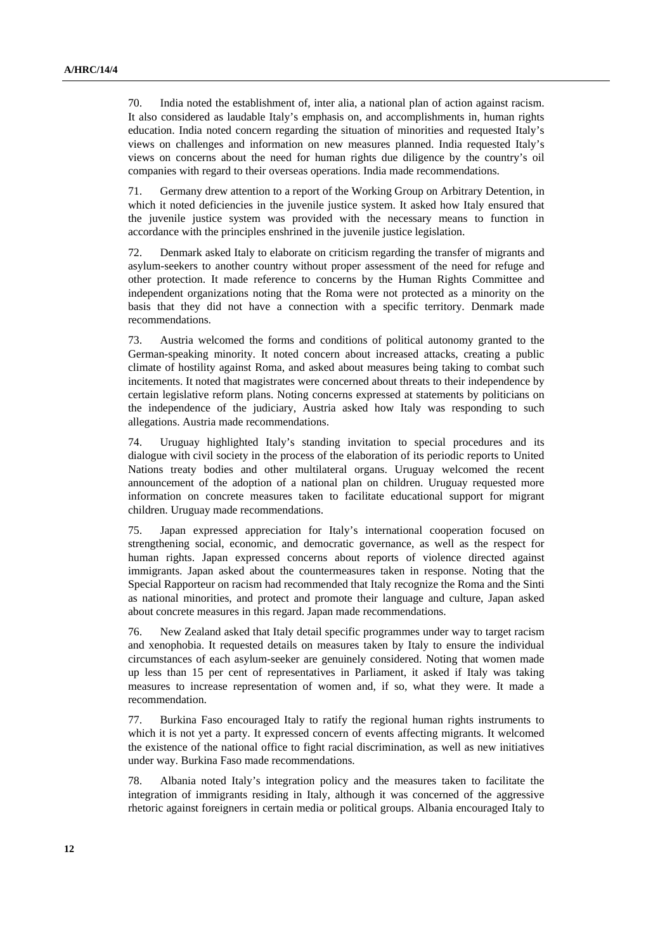70. India noted the establishment of, inter alia, a national plan of action against racism. It also considered as laudable Italy's emphasis on, and accomplishments in, human rights education. India noted concern regarding the situation of minorities and requested Italy's views on challenges and information on new measures planned. India requested Italy's views on concerns about the need for human rights due diligence by the country's oil companies with regard to their overseas operations. India made recommendations.

71. Germany drew attention to a report of the Working Group on Arbitrary Detention, in which it noted deficiencies in the juvenile justice system. It asked how Italy ensured that the juvenile justice system was provided with the necessary means to function in accordance with the principles enshrined in the juvenile justice legislation.

72. Denmark asked Italy to elaborate on criticism regarding the transfer of migrants and asylum-seekers to another country without proper assessment of the need for refuge and other protection. It made reference to concerns by the Human Rights Committee and independent organizations noting that the Roma were not protected as a minority on the basis that they did not have a connection with a specific territory. Denmark made recommendations.

73. Austria welcomed the forms and conditions of political autonomy granted to the German-speaking minority. It noted concern about increased attacks, creating a public climate of hostility against Roma, and asked about measures being taking to combat such incitements. It noted that magistrates were concerned about threats to their independence by certain legislative reform plans. Noting concerns expressed at statements by politicians on the independence of the judiciary, Austria asked how Italy was responding to such allegations. Austria made recommendations.

74. Uruguay highlighted Italy's standing invitation to special procedures and its dialogue with civil society in the process of the elaboration of its periodic reports to United Nations treaty bodies and other multilateral organs. Uruguay welcomed the recent announcement of the adoption of a national plan on children. Uruguay requested more information on concrete measures taken to facilitate educational support for migrant children. Uruguay made recommendations.

75. Japan expressed appreciation for Italy's international cooperation focused on strengthening social, economic, and democratic governance, as well as the respect for human rights. Japan expressed concerns about reports of violence directed against immigrants. Japan asked about the countermeasures taken in response. Noting that the Special Rapporteur on racism had recommended that Italy recognize the Roma and the Sinti as national minorities, and protect and promote their language and culture, Japan asked about concrete measures in this regard. Japan made recommendations.

76. New Zealand asked that Italy detail specific programmes under way to target racism and xenophobia. It requested details on measures taken by Italy to ensure the individual circumstances of each asylum-seeker are genuinely considered. Noting that women made up less than 15 per cent of representatives in Parliament, it asked if Italy was taking measures to increase representation of women and, if so, what they were. It made a recommendation.

77. Burkina Faso encouraged Italy to ratify the regional human rights instruments to which it is not yet a party. It expressed concern of events affecting migrants. It welcomed the existence of the national office to fight racial discrimination, as well as new initiatives under way. Burkina Faso made recommendations.

78. Albania noted Italy's integration policy and the measures taken to facilitate the integration of immigrants residing in Italy, although it was concerned of the aggressive rhetoric against foreigners in certain media or political groups. Albania encouraged Italy to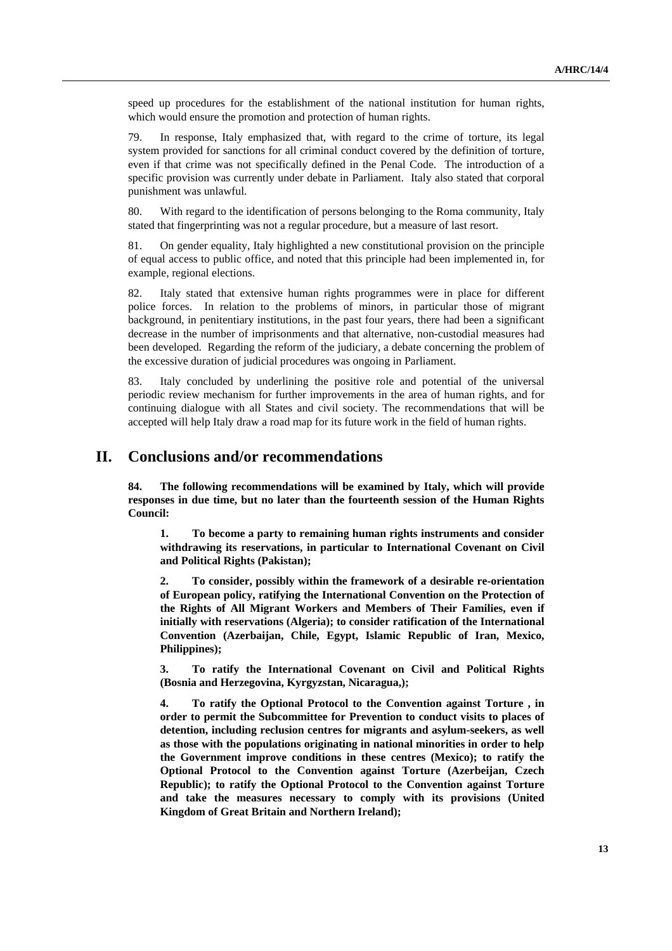speed up procedures for the establishment of the national institution for human rights, which would ensure the promotion and protection of human rights.

79. In response, Italy emphasized that, with regard to the crime of torture, its legal system provided for sanctions for all criminal conduct covered by the definition of torture, even if that crime was not specifically defined in the Penal Code. The introduction of a specific provision was currently under debate in Parliament. Italy also stated that corporal punishment was unlawful.

80. With regard to the identification of persons belonging to the Roma community, Italy stated that fingerprinting was not a regular procedure, but a measure of last resort.

81. On gender equality, Italy highlighted a new constitutional provision on the principle of equal access to public office, and noted that this principle had been implemented in, for example, regional elections.

82. Italy stated that extensive human rights programmes were in place for different police forces. In relation to the problems of minors, in particular those of migrant background, in penitentiary institutions, in the past four years, there had been a significant decrease in the number of imprisonments and that alternative, non-custodial measures had been developed. Regarding the reform of the judiciary, a debate concerning the problem of the excessive duration of judicial procedures was ongoing in Parliament.

83. Italy concluded by underlining the positive role and potential of the universal periodic review mechanism for further improvements in the area of human rights, and for continuing dialogue with all States and civil society. The recommendations that will be accepted will help Italy draw a road map for its future work in the field of human rights.

## **II. Conclusions and/or recommendations**

**84. The following recommendations will be examined by Italy, which will provide responses in due time, but no later than the fourteenth session of the Human Rights Council:** 

**1. To become a party to remaining human rights instruments and consider withdrawing its reservations, in particular to International Covenant on Civil and Political Rights (Pakistan);** 

**2. To consider, possibly within the framework of a desirable re-orientation of European policy, ratifying the International Convention on the Protection of the Rights of All Migrant Workers and Members of Their Families, even if initially with reservations (Algeria); to consider ratification of the International Convention (Azerbaijan, Chile, Egypt, Islamic Republic of Iran, Mexico, Philippines);** 

**3. To ratify the International Covenant on Civil and Political Rights (Bosnia and Herzegovina, Kyrgyzstan, Nicaragua,);** 

**4. To ratify the Optional Protocol to the Convention against Torture , in order to permit the Subcommittee for Prevention to conduct visits to places of detention, including reclusion centres for migrants and asylum-seekers, as well as those with the populations originating in national minorities in order to help the Government improve conditions in these centres (Mexico); to ratify the Optional Protocol to the Convention against Torture (Azerbeijan, Czech Republic); to ratify the Optional Protocol to the Convention against Torture and take the measures necessary to comply with its provisions (United Kingdom of Great Britain and Northern Ireland);**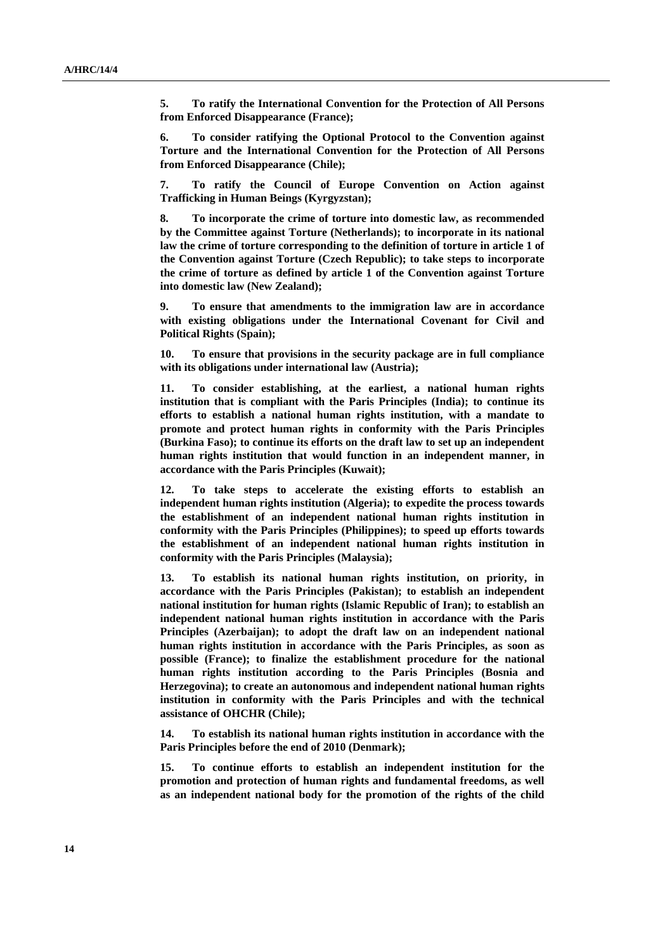**5. To ratify the International Convention for the Protection of All Persons from Enforced Disappearance (France);** 

**6. To consider ratifying the Optional Protocol to the Convention against Torture and the International Convention for the Protection of All Persons from Enforced Disappearance (Chile);** 

**7. To ratify the Council of Europe Convention on Action against Trafficking in Human Beings (Kyrgyzstan);** 

**8. To incorporate the crime of torture into domestic law, as recommended by the Committee against Torture (Netherlands); to incorporate in its national law the crime of torture corresponding to the definition of torture in article 1 of the Convention against Torture (Czech Republic); to take steps to incorporate the crime of torture as defined by article 1 of the Convention against Torture into domestic law (New Zealand);** 

**9. To ensure that amendments to the immigration law are in accordance with existing obligations under the International Covenant for Civil and Political Rights (Spain);** 

**10. To ensure that provisions in the security package are in full compliance with its obligations under international law (Austria);** 

**11. To consider establishing, at the earliest, a national human rights institution that is compliant with the Paris Principles (India); to continue its efforts to establish a national human rights institution, with a mandate to promote and protect human rights in conformity with the Paris Principles (Burkina Faso); to continue its efforts on the draft law to set up an independent human rights institution that would function in an independent manner, in accordance with the Paris Principles (Kuwait);** 

**12. To take steps to accelerate the existing efforts to establish an independent human rights institution (Algeria); to expedite the process towards the establishment of an independent national human rights institution in conformity with the Paris Principles (Philippines); to speed up efforts towards the establishment of an independent national human rights institution in conformity with the Paris Principles (Malaysia);** 

**13. To establish its national human rights institution, on priority, in accordance with the Paris Principles (Pakistan); to establish an independent national institution for human rights (Islamic Republic of Iran); to establish an independent national human rights institution in accordance with the Paris Principles (Azerbaijan); to adopt the draft law on an independent national human rights institution in accordance with the Paris Principles, as soon as possible (France); to finalize the establishment procedure for the national human rights institution according to the Paris Principles (Bosnia and Herzegovina); to create an autonomous and independent national human rights institution in conformity with the Paris Principles and with the technical assistance of OHCHR (Chile);** 

**14. To establish its national human rights institution in accordance with the Paris Principles before the end of 2010 (Denmark);** 

**15. To continue efforts to establish an independent institution for the promotion and protection of human rights and fundamental freedoms, as well as an independent national body for the promotion of the rights of the child**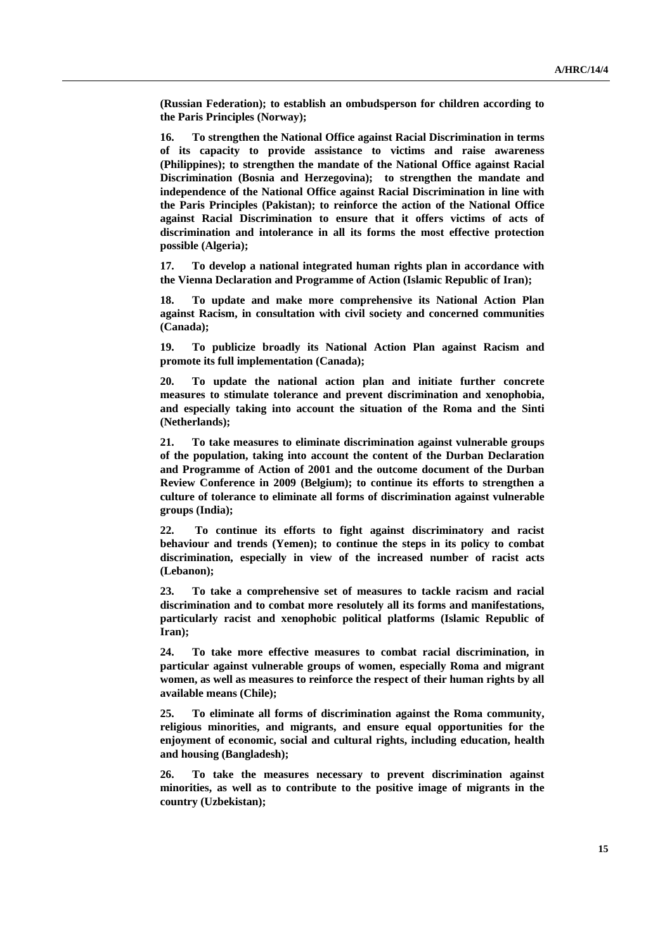**(Russian Federation); to establish an ombudsperson for children according to the Paris Principles (Norway);** 

**16. To strengthen the National Office against Racial Discrimination in terms of its capacity to provide assistance to victims and raise awareness (Philippines); to strengthen the mandate of the National Office against Racial Discrimination (Bosnia and Herzegovina); to strengthen the mandate and independence of the National Office against Racial Discrimination in line with the Paris Principles (Pakistan); to reinforce the action of the National Office against Racial Discrimination to ensure that it offers victims of acts of discrimination and intolerance in all its forms the most effective protection possible (Algeria);** 

**17. To develop a national integrated human rights plan in accordance with the Vienna Declaration and Programme of Action (Islamic Republic of Iran);** 

**18. To update and make more comprehensive its National Action Plan against Racism, in consultation with civil society and concerned communities (Canada);** 

**19. To publicize broadly its National Action Plan against Racism and promote its full implementation (Canada);** 

**20. To update the national action plan and initiate further concrete measures to stimulate tolerance and prevent discrimination and xenophobia, and especially taking into account the situation of the Roma and the Sinti (Netherlands);** 

**21. To take measures to eliminate discrimination against vulnerable groups of the population, taking into account the content of the Durban Declaration and Programme of Action of 2001 and the outcome document of the Durban Review Conference in 2009 (Belgium); to continue its efforts to strengthen a culture of tolerance to eliminate all forms of discrimination against vulnerable groups (India);** 

**22. To continue its efforts to fight against discriminatory and racist behaviour and trends (Yemen); to continue the steps in its policy to combat discrimination, especially in view of the increased number of racist acts (Lebanon);** 

**23. To take a comprehensive set of measures to tackle racism and racial discrimination and to combat more resolutely all its forms and manifestations, particularly racist and xenophobic political platforms (Islamic Republic of Iran);** 

**24. To take more effective measures to combat racial discrimination, in particular against vulnerable groups of women, especially Roma and migrant women, as well as measures to reinforce the respect of their human rights by all available means (Chile);** 

**25. To eliminate all forms of discrimination against the Roma community, religious minorities, and migrants, and ensure equal opportunities for the enjoyment of economic, social and cultural rights, including education, health and housing (Bangladesh);** 

**26. To take the measures necessary to prevent discrimination against minorities, as well as to contribute to the positive image of migrants in the country (Uzbekistan);**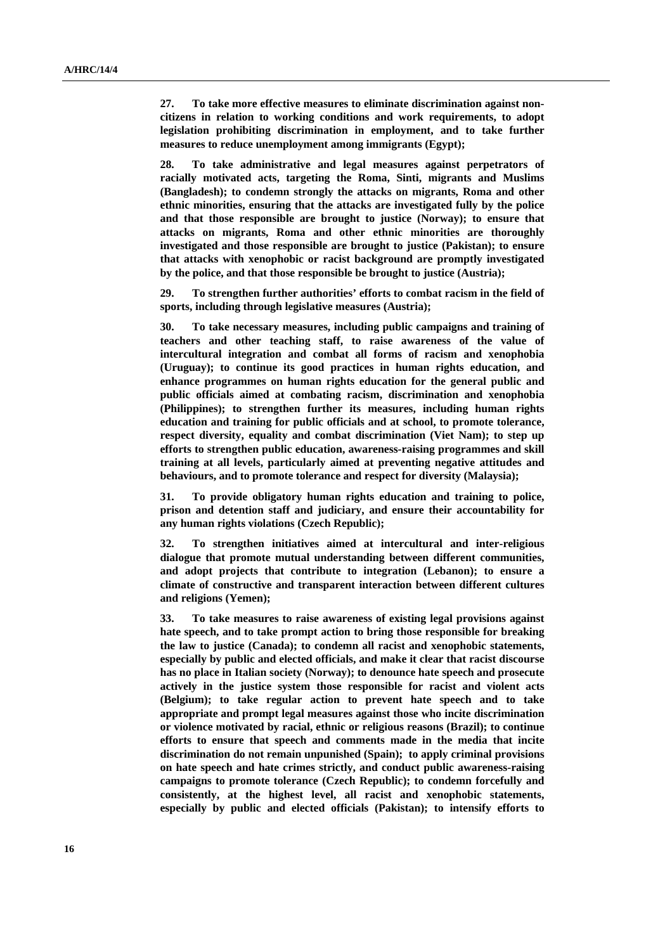**27. To take more effective measures to eliminate discrimination against noncitizens in relation to working conditions and work requirements, to adopt legislation prohibiting discrimination in employment, and to take further measures to reduce unemployment among immigrants (Egypt);** 

**28. To take administrative and legal measures against perpetrators of racially motivated acts, targeting the Roma, Sinti, migrants and Muslims (Bangladesh); to condemn strongly the attacks on migrants, Roma and other ethnic minorities, ensuring that the attacks are investigated fully by the police and that those responsible are brought to justice (Norway); to ensure that attacks on migrants, Roma and other ethnic minorities are thoroughly investigated and those responsible are brought to justice (Pakistan); to ensure that attacks with xenophobic or racist background are promptly investigated by the police, and that those responsible be brought to justice (Austria);** 

**29. To strengthen further authorities' efforts to combat racism in the field of sports, including through legislative measures (Austria);** 

**30. To take necessary measures, including public campaigns and training of teachers and other teaching staff, to raise awareness of the value of intercultural integration and combat all forms of racism and xenophobia (Uruguay); to continue its good practices in human rights education, and enhance programmes on human rights education for the general public and public officials aimed at combating racism, discrimination and xenophobia (Philippines); to strengthen further its measures, including human rights education and training for public officials and at school, to promote tolerance, respect diversity, equality and combat discrimination (Viet Nam); to step up efforts to strengthen public education, awareness-raising programmes and skill training at all levels, particularly aimed at preventing negative attitudes and behaviours, and to promote tolerance and respect for diversity (Malaysia);** 

**31. To provide obligatory human rights education and training to police, prison and detention staff and judiciary, and ensure their accountability for any human rights violations (Czech Republic);** 

**32. To strengthen initiatives aimed at intercultural and inter-religious dialogue that promote mutual understanding between different communities, and adopt projects that contribute to integration (Lebanon); to ensure a climate of constructive and transparent interaction between different cultures and religions (Yemen);** 

**33. To take measures to raise awareness of existing legal provisions against hate speech, and to take prompt action to bring those responsible for breaking the law to justice (Canada); to condemn all racist and xenophobic statements, especially by public and elected officials, and make it clear that racist discourse has no place in Italian society (Norway); to denounce hate speech and prosecute actively in the justice system those responsible for racist and violent acts (Belgium); to take regular action to prevent hate speech and to take appropriate and prompt legal measures against those who incite discrimination or violence motivated by racial, ethnic or religious reasons (Brazil); to continue efforts to ensure that speech and comments made in the media that incite discrimination do not remain unpunished (Spain); to apply criminal provisions on hate speech and hate crimes strictly, and conduct public awareness-raising campaigns to promote tolerance (Czech Republic); to condemn forcefully and consistently, at the highest level, all racist and xenophobic statements, especially by public and elected officials (Pakistan); to intensify efforts to**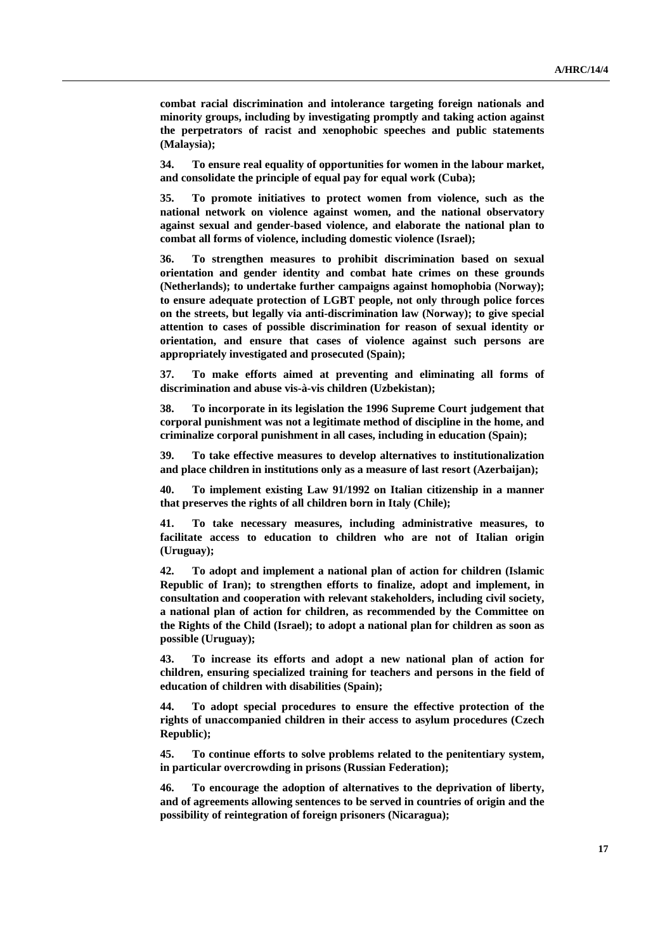**combat racial discrimination and intolerance targeting foreign nationals and minority groups, including by investigating promptly and taking action against the perpetrators of racist and xenophobic speeches and public statements (Malaysia);** 

**34. To ensure real equality of opportunities for women in the labour market, and consolidate the principle of equal pay for equal work (Cuba);** 

**35. To promote initiatives to protect women from violence, such as the national network on violence against women, and the national observatory against sexual and gender-based violence, and elaborate the national plan to combat all forms of violence, including domestic violence (Israel);** 

**36. To strengthen measures to prohibit discrimination based on sexual orientation and gender identity and combat hate crimes on these grounds (Netherlands); to undertake further campaigns against homophobia (Norway); to ensure adequate protection of LGBT people, not only through police forces on the streets, but legally via anti-discrimination law (Norway); to give special attention to cases of possible discrimination for reason of sexual identity or orientation, and ensure that cases of violence against such persons are appropriately investigated and prosecuted (Spain);** 

**37. To make efforts aimed at preventing and eliminating all forms of discrimination and abuse vis-à-vis children (Uzbekistan);** 

**38. To incorporate in its legislation the 1996 Supreme Court judgement that corporal punishment was not a legitimate method of discipline in the home, and criminalize corporal punishment in all cases, including in education (Spain);** 

**39. To take effective measures to develop alternatives to institutionalization and place children in institutions only as a measure of last resort (Azerbaijan);** 

**40. To implement existing Law 91/1992 on Italian citizenship in a manner that preserves the rights of all children born in Italy (Chile);** 

**41. To take necessary measures, including administrative measures, to facilitate access to education to children who are not of Italian origin (Uruguay);** 

**42. To adopt and implement a national plan of action for children (Islamic Republic of Iran); to strengthen efforts to finalize, adopt and implement, in consultation and cooperation with relevant stakeholders, including civil society, a national plan of action for children, as recommended by the Committee on the Rights of the Child (Israel); to adopt a national plan for children as soon as possible (Uruguay);** 

**43. To increase its efforts and adopt a new national plan of action for children, ensuring specialized training for teachers and persons in the field of education of children with disabilities (Spain);** 

**44. To adopt special procedures to ensure the effective protection of the rights of unaccompanied children in their access to asylum procedures (Czech Republic);** 

**45. To continue efforts to solve problems related to the penitentiary system, in particular overcrowding in prisons (Russian Federation);** 

**46. To encourage the adoption of alternatives to the deprivation of liberty, and of agreements allowing sentences to be served in countries of origin and the possibility of reintegration of foreign prisoners (Nicaragua);**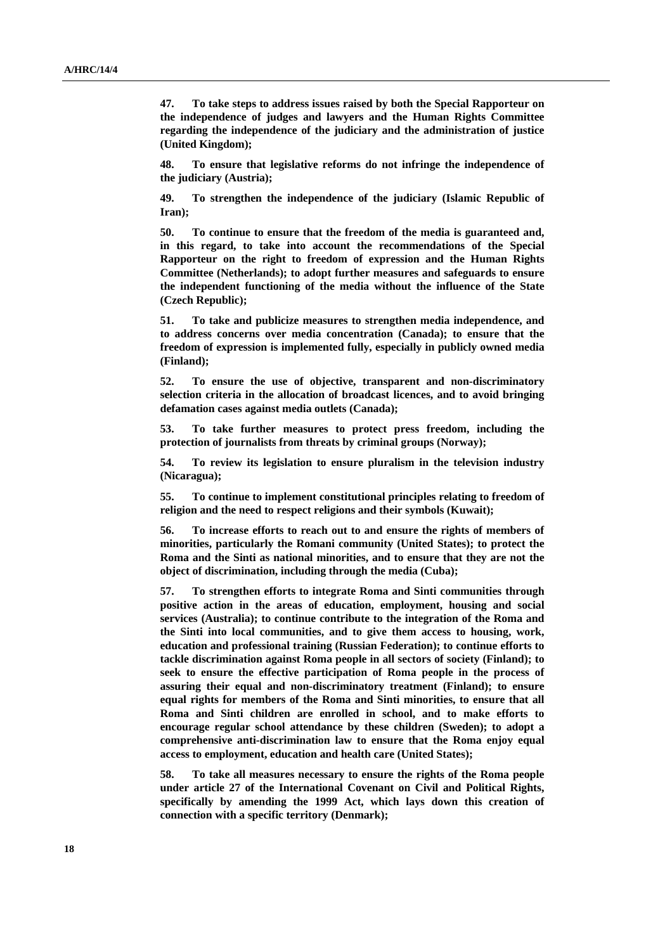**47. To take steps to address issues raised by both the Special Rapporteur on the independence of judges and lawyers and the Human Rights Committee regarding the independence of the judiciary and the administration of justice (United Kingdom);** 

**48. To ensure that legislative reforms do not infringe the independence of the judiciary (Austria);** 

**49. To strengthen the independence of the judiciary (Islamic Republic of Iran);** 

**50. To continue to ensure that the freedom of the media is guaranteed and, in this regard, to take into account the recommendations of the Special Rapporteur on the right to freedom of expression and the Human Rights Committee (Netherlands); to adopt further measures and safeguards to ensure the independent functioning of the media without the influence of the State (Czech Republic);** 

**51. To take and publicize measures to strengthen media independence, and to address concerns over media concentration (Canada); to ensure that the freedom of expression is implemented fully, especially in publicly owned media (Finland);** 

**52. To ensure the use of objective, transparent and non-discriminatory selection criteria in the allocation of broadcast licences, and to avoid bringing defamation cases against media outlets (Canada);** 

**53. To take further measures to protect press freedom, including the protection of journalists from threats by criminal groups (Norway);** 

**54. To review its legislation to ensure pluralism in the television industry (Nicaragua);** 

**55. To continue to implement constitutional principles relating to freedom of religion and the need to respect religions and their symbols (Kuwait);** 

**56. To increase efforts to reach out to and ensure the rights of members of minorities, particularly the Romani community (United States); to protect the Roma and the Sinti as national minorities, and to ensure that they are not the object of discrimination, including through the media (Cuba);** 

**57. To strengthen efforts to integrate Roma and Sinti communities through positive action in the areas of education, employment, housing and social services (Australia); to continue contribute to the integration of the Roma and the Sinti into local communities, and to give them access to housing, work, education and professional training (Russian Federation); to continue efforts to tackle discrimination against Roma people in all sectors of society (Finland); to seek to ensure the effective participation of Roma people in the process of assuring their equal and non-discriminatory treatment (Finland); to ensure equal rights for members of the Roma and Sinti minorities, to ensure that all Roma and Sinti children are enrolled in school, and to make efforts to encourage regular school attendance by these children (Sweden); to adopt a comprehensive anti-discrimination law to ensure that the Roma enjoy equal access to employment, education and health care (United States);** 

**58. To take all measures necessary to ensure the rights of the Roma people under article 27 of the International Covenant on Civil and Political Rights, specifically by amending the 1999 Act, which lays down this creation of connection with a specific territory (Denmark);**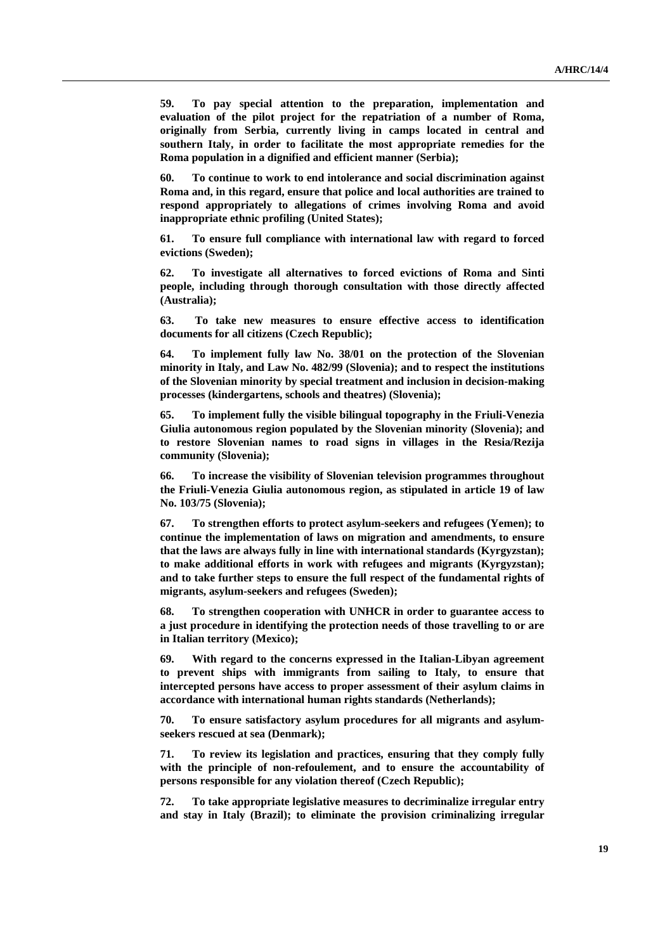**59. To pay special attention to the preparation, implementation and evaluation of the pilot project for the repatriation of a number of Roma, originally from Serbia, currently living in camps located in central and southern Italy, in order to facilitate the most appropriate remedies for the Roma population in a dignified and efficient manner (Serbia);** 

**60. To continue to work to end intolerance and social discrimination against Roma and, in this regard, ensure that police and local authorities are trained to respond appropriately to allegations of crimes involving Roma and avoid inappropriate ethnic profiling (United States);** 

**61. To ensure full compliance with international law with regard to forced evictions (Sweden);** 

**62. To investigate all alternatives to forced evictions of Roma and Sinti people, including through thorough consultation with those directly affected (Australia);** 

**63. To take new measures to ensure effective access to identification documents for all citizens (Czech Republic);** 

**64. To implement fully law No. 38/01 on the protection of the Slovenian minority in Italy, and Law No. 482/99 (Slovenia); and to respect the institutions of the Slovenian minority by special treatment and inclusion in decision-making processes (kindergartens, schools and theatres) (Slovenia);** 

**65. To implement fully the visible bilingual topography in the Friuli-Venezia Giulia autonomous region populated by the Slovenian minority (Slovenia); and to restore Slovenian names to road signs in villages in the Resia/Rezija community (Slovenia);** 

**66. To increase the visibility of Slovenian television programmes throughout the Friuli-Venezia Giulia autonomous region, as stipulated in article 19 of law No. 103/75 (Slovenia);** 

**67. To strengthen efforts to protect asylum-seekers and refugees (Yemen); to continue the implementation of laws on migration and amendments, to ensure that the laws are always fully in line with international standards (Kyrgyzstan); to make additional efforts in work with refugees and migrants (Kyrgyzstan); and to take further steps to ensure the full respect of the fundamental rights of migrants, asylum-seekers and refugees (Sweden);** 

**68. To strengthen cooperation with UNHCR in order to guarantee access to a just procedure in identifying the protection needs of those travelling to or are in Italian territory (Mexico);** 

**69. With regard to the concerns expressed in the Italian-Libyan agreement to prevent ships with immigrants from sailing to Italy, to ensure that intercepted persons have access to proper assessment of their asylum claims in accordance with international human rights standards (Netherlands);** 

**70. To ensure satisfactory asylum procedures for all migrants and asylumseekers rescued at sea (Denmark);** 

**71. To review its legislation and practices, ensuring that they comply fully with the principle of non-refoulement, and to ensure the accountability of persons responsible for any violation thereof (Czech Republic);** 

**72. To take appropriate legislative measures to decriminalize irregular entry and stay in Italy (Brazil); to eliminate the provision criminalizing irregular**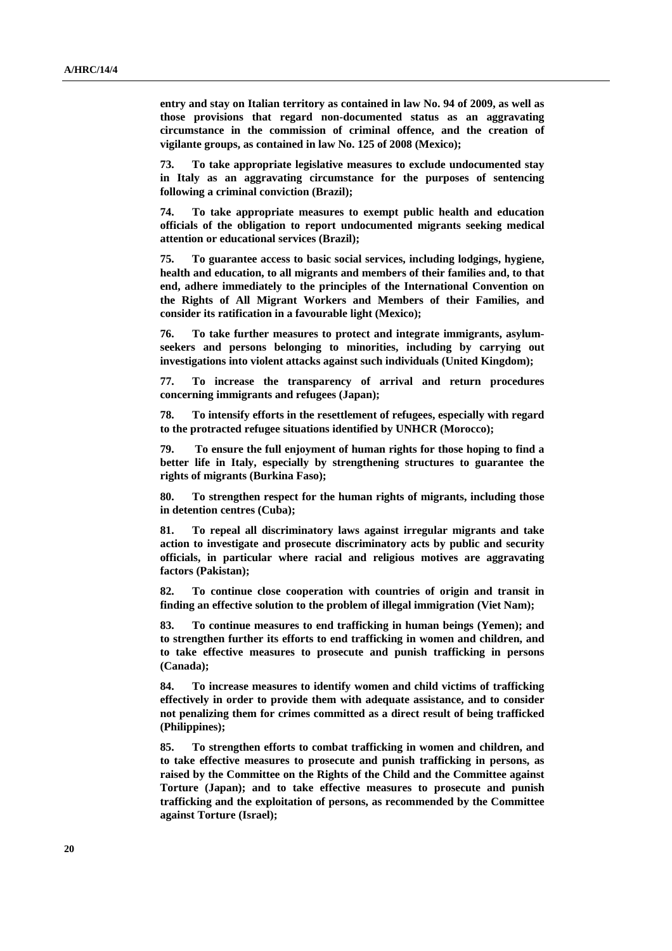**entry and stay on Italian territory as contained in law No. 94 of 2009, as well as those provisions that regard non-documented status as an aggravating circumstance in the commission of criminal offence, and the creation of vigilante groups, as contained in law No. 125 of 2008 (Mexico);** 

**73. To take appropriate legislative measures to exclude undocumented stay in Italy as an aggravating circumstance for the purposes of sentencing following a criminal conviction (Brazil);** 

**74. To take appropriate measures to exempt public health and education officials of the obligation to report undocumented migrants seeking medical attention or educational services (Brazil);** 

**75. To guarantee access to basic social services, including lodgings, hygiene, health and education, to all migrants and members of their families and, to that end, adhere immediately to the principles of the International Convention on the Rights of All Migrant Workers and Members of their Families, and consider its ratification in a favourable light (Mexico);** 

**76. To take further measures to protect and integrate immigrants, asylumseekers and persons belonging to minorities, including by carrying out investigations into violent attacks against such individuals (United Kingdom);** 

**77. To increase the transparency of arrival and return procedures concerning immigrants and refugees (Japan);** 

**78. To intensify efforts in the resettlement of refugees, especially with regard to the protracted refugee situations identified by UNHCR (Morocco);** 

**79. To ensure the full enjoyment of human rights for those hoping to find a better life in Italy, especially by strengthening structures to guarantee the rights of migrants (Burkina Faso);** 

**80. To strengthen respect for the human rights of migrants, including those in detention centres (Cuba);** 

**81. To repeal all discriminatory laws against irregular migrants and take action to investigate and prosecute discriminatory acts by public and security officials, in particular where racial and religious motives are aggravating factors (Pakistan);** 

**82. To continue close cooperation with countries of origin and transit in finding an effective solution to the problem of illegal immigration (Viet Nam);** 

**83. To continue measures to end trafficking in human beings (Yemen); and to strengthen further its efforts to end trafficking in women and children, and to take effective measures to prosecute and punish trafficking in persons (Canada);** 

**84. To increase measures to identify women and child victims of trafficking effectively in order to provide them with adequate assistance, and to consider not penalizing them for crimes committed as a direct result of being trafficked (Philippines);** 

**85. To strengthen efforts to combat trafficking in women and children, and to take effective measures to prosecute and punish trafficking in persons, as raised by the Committee on the Rights of the Child and the Committee against Torture (Japan); and to take effective measures to prosecute and punish trafficking and the exploitation of persons, as recommended by the Committee against Torture (Israel);**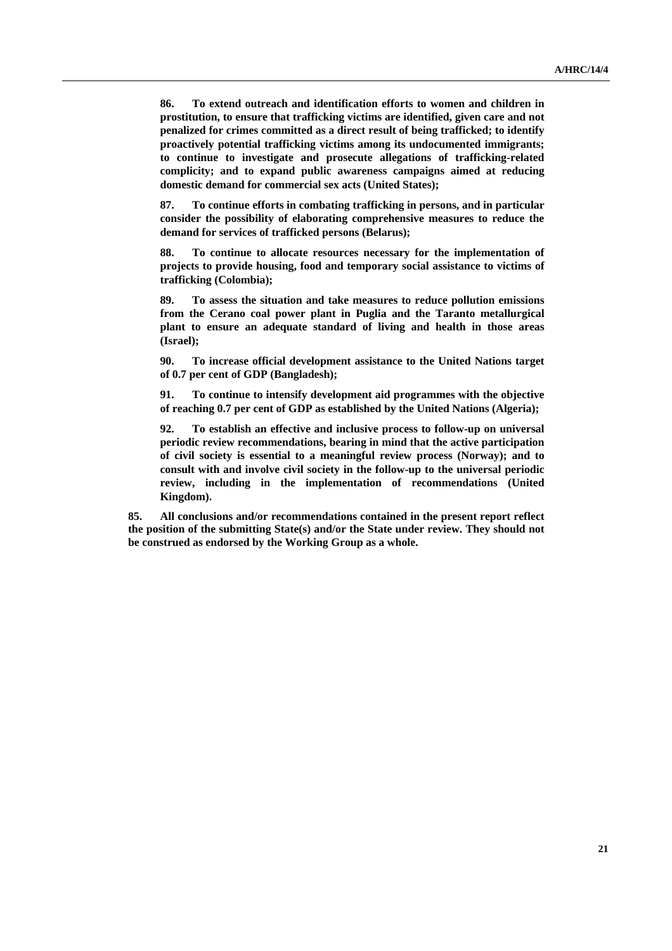**86. To extend outreach and identification efforts to women and children in prostitution, to ensure that trafficking victims are identified, given care and not penalized for crimes committed as a direct result of being trafficked; to identify proactively potential trafficking victims among its undocumented immigrants; to continue to investigate and prosecute allegations of trafficking-related complicity; and to expand public awareness campaigns aimed at reducing domestic demand for commercial sex acts (United States);** 

**87. To continue efforts in combating trafficking in persons, and in particular consider the possibility of elaborating comprehensive measures to reduce the demand for services of trafficked persons (Belarus);** 

**88. To continue to allocate resources necessary for the implementation of projects to provide housing, food and temporary social assistance to victims of trafficking (Colombia);** 

**89. To assess the situation and take measures to reduce pollution emissions from the Cerano coal power plant in Puglia and the Taranto metallurgical plant to ensure an adequate standard of living and health in those areas (Israel);** 

**90. To increase official development assistance to the United Nations target of 0.7 per cent of GDP (Bangladesh);** 

**91. To continue to intensify development aid programmes with the objective of reaching 0.7 per cent of GDP as established by the United Nations (Algeria);** 

**92. To establish an effective and inclusive process to follow-up on universal periodic review recommendations, bearing in mind that the active participation of civil society is essential to a meaningful review process (Norway); and to consult with and involve civil society in the follow-up to the universal periodic review, including in the implementation of recommendations (United Kingdom).** 

**85. All conclusions and/or recommendations contained in the present report reflect the position of the submitting State(s) and/or the State under review. They should not be construed as endorsed by the Working Group as a whole.**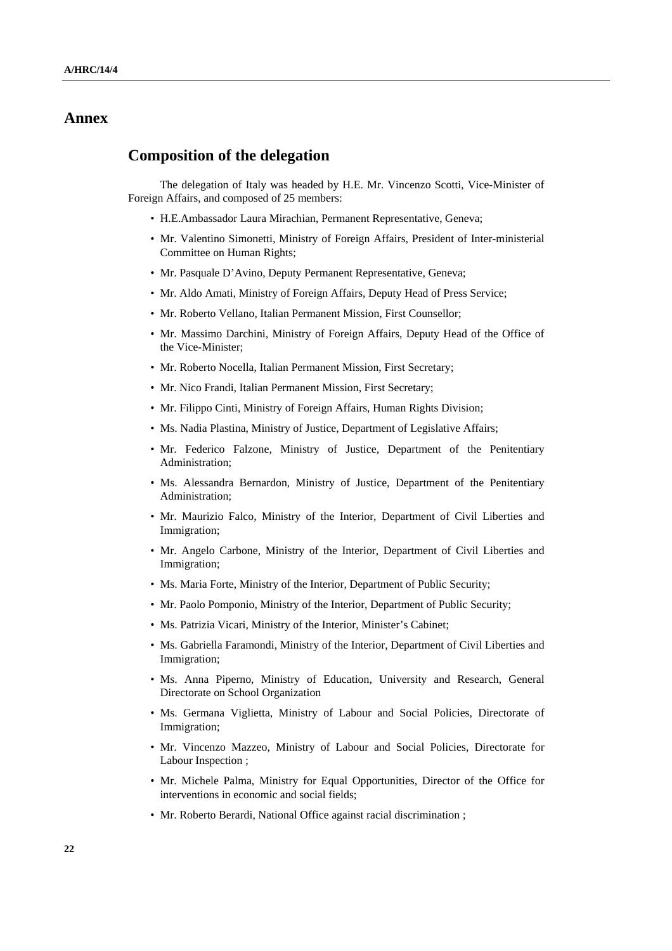## **Annex**

### **Composition of the delegation**

The delegation of Italy was headed by H.E. Mr. Vincenzo Scotti, Vice-Minister of Foreign Affairs, and composed of 25 members:

- H.E.Ambassador Laura Mirachian, Permanent Representative, Geneva;
- Mr. Valentino Simonetti, Ministry of Foreign Affairs, President of Inter-ministerial Committee on Human Rights;
- Mr. Pasquale D'Avino, Deputy Permanent Representative, Geneva;
- Mr. Aldo Amati, Ministry of Foreign Affairs, Deputy Head of Press Service;
- Mr. Roberto Vellano, Italian Permanent Mission, First Counsellor;
- Mr. Massimo Darchini, Ministry of Foreign Affairs, Deputy Head of the Office of the Vice-Minister;
- Mr. Roberto Nocella, Italian Permanent Mission, First Secretary;
- Mr. Nico Frandi, Italian Permanent Mission, First Secretary;
- Mr. Filippo Cinti, Ministry of Foreign Affairs, Human Rights Division;
- Ms. Nadia Plastina, Ministry of Justice, Department of Legislative Affairs;
- Mr. Federico Falzone, Ministry of Justice, Department of the Penitentiary Administration;
- Ms. Alessandra Bernardon, Ministry of Justice, Department of the Penitentiary Administration;
- Mr. Maurizio Falco, Ministry of the Interior, Department of Civil Liberties and Immigration;
- Mr. Angelo Carbone, Ministry of the Interior, Department of Civil Liberties and Immigration;
- Ms. Maria Forte, Ministry of the Interior, Department of Public Security;
- Mr. Paolo Pomponio, Ministry of the Interior, Department of Public Security;
- Ms. Patrizia Vicari, Ministry of the Interior, Minister's Cabinet;
- Ms. Gabriella Faramondi, Ministry of the Interior, Department of Civil Liberties and Immigration;
- Ms. Anna Piperno, Ministry of Education, University and Research, General Directorate on School Organization
- Ms. Germana Viglietta, Ministry of Labour and Social Policies, Directorate of Immigration;
- Mr. Vincenzo Mazzeo, Ministry of Labour and Social Policies, Directorate for Labour Inspection ;
- Mr. Michele Palma, Ministry for Equal Opportunities, Director of the Office for interventions in economic and social fields;
- Mr. Roberto Berardi, National Office against racial discrimination ;